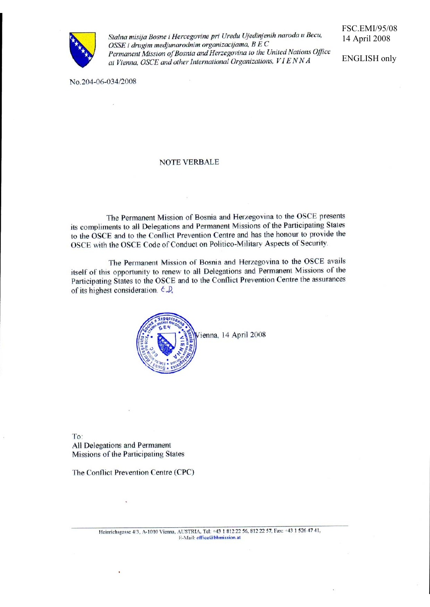

Stalna misija Bosne i Hercegovine pri Uredu Ujedinjenih naroda u Becu, OSSE i drugim medjunarodnim organizacijama, B E C Permanent Mission of Bosnia and Herzegovina to the United Nations Office at Vienna, OSCE and other International Organizations, VIENNA

**FSC.EMI/95/08** 14 April 2008

**ENGLISH only** 

No.204-06-034/2008

#### **NOTE VERBALE**

The Permanent Mission of Bosnia and Herzegovina to the OSCE presents its compliments to all Delegations and Permanent Missions of the Participating States to the OSCE and to the Conflict Prevention Centre and has the honour to provide the OSCE with the OSCE Code of Conduct on Politico-Military Aspects of Security.

The Permanent Mission of Bosnia and Herzegovina to the OSCE avails itself of this opportunity to renew to all Delegations and Permanent Missions of the Participating States to the OSCE and to the Conflict Prevention Centre the assurances of its highest consideration.  $\epsilon \mathcal{D}$ ,



To: All Delegations and Permanent Missions of the Participating States

The Conflict Prevention Centre (CPC)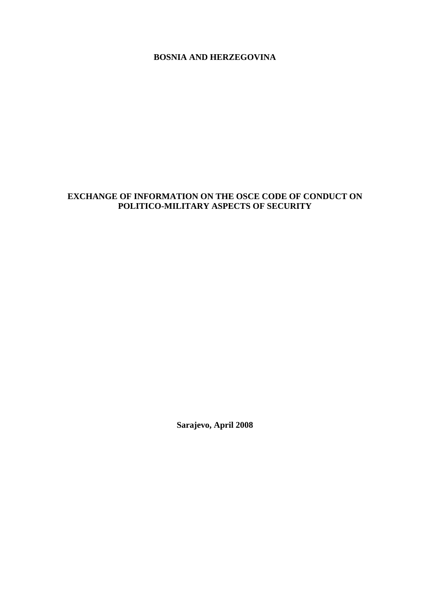## **BOSNIA AND HERZEGOVINA**

# **EXCHANGE OF INFORMATION ON THE OSCE CODE OF CONDUCT ON POLITICO-MILITARY ASPECTS OF SECURITY**

**Sarajevo, April 2008**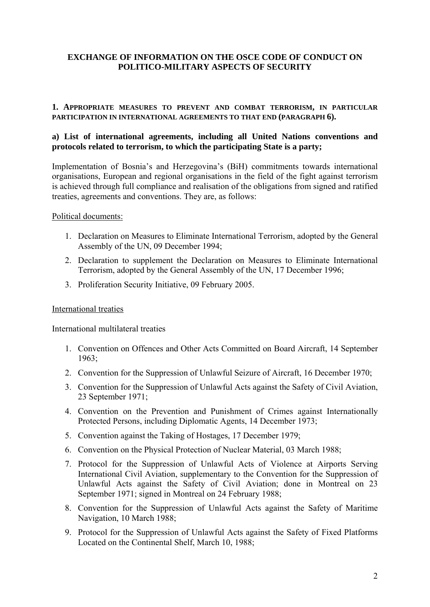### **EXCHANGE OF INFORMATION ON THE OSCE CODE OF CONDUCT ON POLITICO-MILITARY ASPECTS OF SECURITY**

#### **1. APPROPRIATE MEASURES TO PREVENT AND COMBAT TERRORISM, IN PARTICULAR PARTICIPATION IN INTERNATIONAL AGREEMENTS TO THAT END (PARAGRAPH 6).**

### **a) List of international agreements, including all United Nations conventions and protocols related to terrorism, to which the participating State is a party;**

Implementation of Bosnia's and Herzegovina's (BiH) commitments towards international organisations, European and regional organisations in the field of the fight against terrorism is achieved through full compliance and realisation of the obligations from signed and ratified treaties, agreements and conventions. They are, as follows:

#### Political documents:

- 1. Declaration on Measures to Eliminate International Terrorism, adopted by the General Assembly of the UN, 09 December 1994;
- 2. Declaration to supplement the Declaration on Measures to Eliminate International Terrorism, adopted by the General Assembly of the UN, 17 December 1996;
- 3. Proliferation Security Initiative, 09 February 2005.

#### International treaties

International multilateral treaties

- 1. Convention on Offences and Other Acts Committed on Board Aircraft, 14 September 1963;
- 2. Convention for the Suppression of Unlawful Seizure of Aircraft, 16 December 1970;
- 3. Convention for the Suppression of Unlawful Acts against the Safety of Civil Aviation, 23 September 1971;
- 4. Convention on the Prevention and Punishment of Crimes against Internationally Protected Persons, including Diplomatic Agents, 14 December 1973;
- 5. Convention against the Taking of Hostages, 17 December 1979;
- 6. Convention on the Physical Protection of Nuclear Material, 03 March 1988;
- 7. Protocol for the Suppression of Unlawful Acts of Violence at Airports Serving International Civil Aviation, supplementary to the Convention for the Suppression of Unlawful Acts against the Safety of Civil Aviation; done in Montreal on 23 September 1971; signed in Montreal on 24 February 1988;
- 8. Convention for the Suppression of Unlawful Acts against the Safety of Maritime Navigation, 10 March 1988;
- 9. Protocol for the Suppression of Unlawful Acts against the Safety of Fixed Platforms Located on the Continental Shelf, March 10, 1988;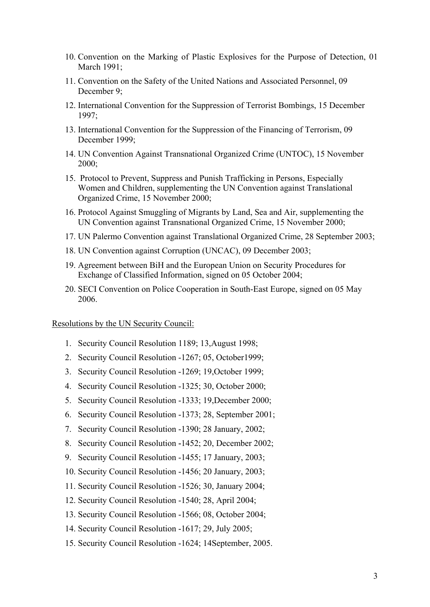- 10. Convention on the Marking of Plastic Explosives for the Purpose of Detection, 01 March 1991;
- 11. Convention on the Safety of the United Nations and Associated Personnel, 09 December 9;
- 12. International Convention for the Suppression of Terrorist Bombings, 15 December 1997;
- 13. International Convention for the Suppression of the Financing of Terrorism, 09 December 1999;
- 14. UN Convention Against Transnational Organized Crime (UNTOC), 15 November  $2000$
- 15. Protocol to Prevent, Suppress and Punish Trafficking in Persons, Especially Women and Children, supplementing the UN Convention against Translational Organized Crime, 15 November 2000;
- 16. Protocol Against Smuggling of Migrants by Land, Sea and Air, supplementing the UN Convention against Transnational Organized Crime, 15 November 2000;
- 17. UN Palermo Convention against Translational Organized Crime, 28 September 2003;
- 18. UN Convention against Corruption (UNCAC), 09 December 2003;
- 19. Agreement between BiH and the European Union on Security Procedures for Exchange of Classified Information, signed on 05 October 2004;
- 20. SECI Convention on Police Cooperation in South-East Europe, signed on 05 May 2006.

Resolutions by the UN Security Council:

- 1. Security Council Resolution 1189; 13,August 1998;
- 2. Security Council Resolution -1267; 05, October1999;
- 3. Security Council Resolution -1269; 19,October 1999;
- 4. Security Council Resolution -1325; 30, October 2000;
- 5. Security Council Resolution -1333; 19,December 2000;
- 6. Security Council Resolution -1373; 28, September 2001;
- 7. Security Council Resolution -1390; 28 January, 2002;
- 8. Security Council Resolution **-**1452; 20, December 2002;
- 9. Security Council Resolution -1455; 17 January, 2003;
- 10. Security Council Resolution -1456; 20 January, 2003;
- 11. Security Council Resolution -1526; 30, January 2004;
- 12. Security Council Resolution -1540; 28, April 2004;
- 13. Security Council Resolution -1566; 08, October 2004;
- 14. Security Council Resolution -1617; 29, July 2005;
- 15. Security Council Resolution -1624; 14September, 2005.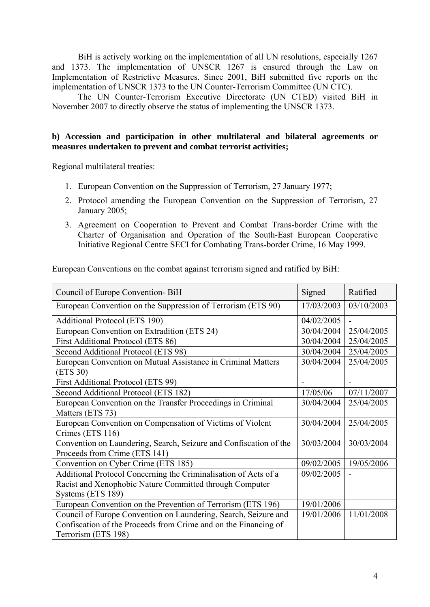BiH is actively working on the implementation of all UN resolutions, especially 1267 and 1373. The implementation of UNSCR 1267 is ensured through the Law on Implementation of Restrictive Measures. Since 2001, BiH submitted five reports on the implementation of UNSCR 1373 to the UN Counter-Terrorism Committee (UN CTC).

The UN Counter-Terrorism Executive Directorate (UN CTED) visited BiH in November 2007 to directly observe the status of implementing the UNSCR 1373.

### **b) Accession and participation in other multilateral and bilateral agreements or measures undertaken to prevent and combat terrorist activities;**

Regional multilateral treaties:

- 1. European Convention on the Suppression of Terrorism, 27 January 1977;
- 2. Protocol amending the European Convention on the Suppression of Terrorism, 27 January 2005;
- 3. Agreement on Cooperation to Prevent and Combat Trans-border Crime with the Charter of Organisation and Operation of the South-East European Cooperative Initiative Regional Centre SECI for Combating Trans-border Crime, 16 May 1999.

European Conventions on the combat against terrorism signed and ratified by BiH:

| Council of Europe Convention-BiH                                  | Signed     | Ratified   |
|-------------------------------------------------------------------|------------|------------|
| European Convention on the Suppression of Terrorism (ETS 90)      | 17/03/2003 | 03/10/2003 |
| <b>Additional Protocol (ETS 190)</b>                              | 04/02/2005 |            |
| European Convention on Extradition (ETS 24)                       | 30/04/2004 | 25/04/2005 |
| First Additional Protocol (ETS 86)                                | 30/04/2004 | 25/04/2005 |
| Second Additional Protocol (ETS 98)                               | 30/04/2004 | 25/04/2005 |
| European Convention on Mutual Assistance in Criminal Matters      | 30/04/2004 | 25/04/2005 |
| (ETS 30)                                                          |            |            |
| First Additional Protocol (ETS 99)                                |            |            |
| Second Additional Protocol (ETS 182)                              | 17/05/06   | 07/11/2007 |
| European Convention on the Transfer Proceedings in Criminal       | 30/04/2004 | 25/04/2005 |
| Matters (ETS 73)                                                  |            |            |
| European Convention on Compensation of Victims of Violent         | 30/04/2004 | 25/04/2005 |
| Crimes (ETS 116)                                                  |            |            |
| Convention on Laundering, Search, Seizure and Confiscation of the | 30/03/2004 | 30/03/2004 |
| Proceeds from Crime (ETS 141)                                     |            |            |
| Convention on Cyber Crime (ETS 185)                               | 09/02/2005 | 19/05/2006 |
| Additional Protocol Concerning the Criminalisation of Acts of a   | 09/02/2005 |            |
| Racist and Xenophobic Nature Committed through Computer           |            |            |
| Systems (ETS 189)                                                 |            |            |
| European Convention on the Prevention of Terrorism (ETS 196)      | 19/01/2006 |            |
| Council of Europe Convention on Laundering, Search, Seizure and   | 19/01/2006 | 11/01/2008 |
| Confiscation of the Proceeds from Crime and on the Financing of   |            |            |
| Terrorism (ETS 198)                                               |            |            |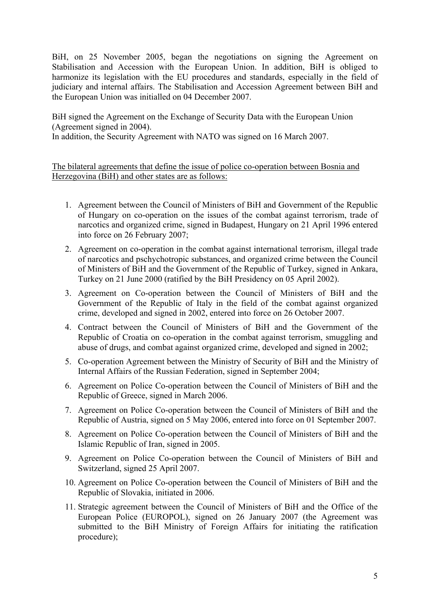BiH, on 25 November 2005, began the negotiations on signing the Agreement on Stabilisation and Accession with the European Union. In addition, BiH is obliged to harmonize its legislation with the EU procedures and standards, especially in the field of judiciary and internal affairs. The Stabilisation and Accession Agreement between BiH and the European Union was initialled on 04 December 2007.

BiH signed the Agreement on the Exchange of Security Data with the European Union (Agreement signed in 2004).

In addition, the Security Agreement with NATO was signed on 16 March 2007.

The bilateral agreements that define the issue of police co-operation between Bosnia and Herzegovina (BiH) and other states are as follows:

- 1. Agreement between the Council of Ministers of BiH and Government of the Republic of Hungary on co-operation on the issues of the combat against terrorism, trade of narcotics and organized crime, signed in Budapest, Hungary on 21 April 1996 entered into force on 26 February 2007;
- 2. Agreement on co-operation in the combat against international terrorism, illegal trade of narcotics and pschychotropic substances, and organized crime between the Council of Ministers of BiH and the Government of the Republic of Turkey, signed in Ankara, Turkey on 21 June 2000 (ratified by the BiH Presidency on 05 April 2002).
- 3. Agreement on Co-operation between the Council of Ministers of BiH and the Government of the Republic of Italy in the field of the combat against organized crime, developed and signed in 2002, entered into force on 26 October 2007.
- 4. Contract between the Council of Ministers of BiH and the Government of the Republic of Croatia on co-operation in the combat against terrorism, smuggling and abuse of drugs, and combat against organized crime, developed and signed in 2002;
- 5. Co-operation Agreement between the Ministry of Security of BiH and the Ministry of Internal Affairs of the Russian Federation, signed in September 2004;
- 6. Agreement on Police Co-operation between the Council of Ministers of BiH and the Republic of Greece, signed in March 2006.
- 7. Agreement on Police Co-operation between the Council of Ministers of BiH and the Republic of Austria, signed on 5 May 2006, entered into force on 01 September 2007.
- 8. Agreement on Police Co-operation between the Council of Ministers of BiH and the Islamic Republic of Iran, signed in 2005.
- 9. Agreement on Police Co-operation between the Council of Ministers of BiH and Switzerland, signed 25 April 2007.
- 10. Agreement on Police Co-operation between the Council of Ministers of BiH and the Republic of Slovakia, initiated in 2006.
- 11. Strategic agreement between the Council of Ministers of BiH and the Office of the European Police (EUROPOL), signed on 26 January 2007 (the Agreement was submitted to the BiH Ministry of Foreign Affairs for initiating the ratification procedure);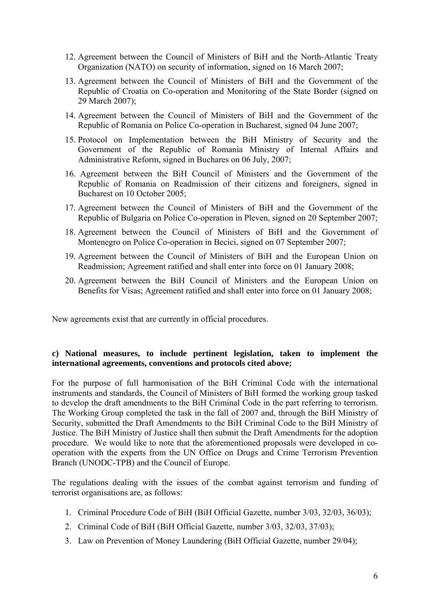- 12. Agreement between the Council of Ministers of BiH and the North-Atlantic Treaty Organization (NATO) on security of information, signed on 16 March 2007;
- 13. Agreement between the Council of Ministers of BiH and the Government of the Republic of Croatia on Co-operation and Monitoring of the State Border (signed on 29 March 2007);
- 14. Agreement between the Council of Ministers of BiH and the Government of the Republic of Romania on Police Co-operation in Bucharest, signed 04 June 2007;
- 15. Protocol on Implementation between the BiH Ministry of Security and the Government of the Republic of Romania Ministry of Internal Affairs and Administrative Reform, signed in Buchares on 06 July, 2007;
- 16. Agreement between the BiH Council of Ministers and the Government of the Republic of Romania on Readmission of their citizens and foreigners, signed in Bucharest on 10 October 2005;
- 17. Agreement between the Council of Ministers of BiH and the Government of the Republic of Bulgaria on Police Co-operation in Pleven, signed on 20 September 2007;
- 18. Agreement between the Council of Ministers of BiH and the Government of Montenegro on Police Co-operation in Becici, signed on 07 September 2007;
- 19. Agreement between the Council of Ministers of BiH and the European Union on Readmission; Agreement ratified and shall enter into force on 01 January 2008;
- 20. Agreement between the BiH Council of Ministers and the European Union on Benefits for Visas; Agreement ratified and shall enter into force on 01 January 2008;

New agreements exist that are currently in official procedures.

### **c) National measures, to include pertinent legislation, taken to implement the international agreements, conventions and protocols cited above;**

For the purpose of full harmonisation of the BiH Criminal Code with the international instruments and standards, the Council of Ministers of BiH formed the working group tasked to develop the draft amendments to the BiH Criminal Code in the part referring to terrorism. The Working Group completed the task in the fall of 2007 and, through the BiH Ministry of Security, submitted the Draft Amendments to the BiH Criminal Code to the BiH Ministry of Justice. The BiH Ministry of Justice shall then submit the Draft Amendments for the adoption procedure. We would like to note that the aforementioned proposals were developed in cooperation with the experts from the UN Office on Drugs and Crime Terrorism Prevention Branch (UNODC-TPB) and the Council of Europe.

The regulations dealing with the issues of the combat against terrorism and funding of terrorist organisations are, as follows:

- 1. Criminal Procedure Code of BiH (BiH Official Gazette, number 3/03, 32/03, 36/03);
- 2. Criminal Code of BiH (BiH Official Gazette, number 3/03, 32/03, 37/03);
- 3. Law on Prevention of Money Laundering (BiH Official Gazette, number 29/04);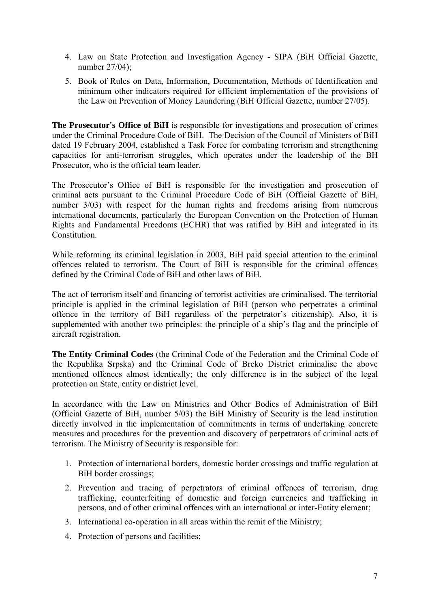- 4. Law on State Protection and Investigation Agency SIPA (BiH Official Gazette, number 27/04);
- 5. Book of Rules on Data, Information, Documentation, Methods of Identification and minimum other indicators required for efficient implementation of the provisions of the Law on Prevention of Money Laundering (BiH Official Gazette, number 27/05).

**The Prosecutor's Office of BiH** is responsible for investigations and prosecution of crimes under the Criminal Procedure Code of BiH. The Decision of the Council of Ministers of BiH dated 19 February 2004, established a Task Force for combating terrorism and strengthening capacities for anti-terrorism struggles, which operates under the leadership of the BH Prosecutor, who is the official team leader.

The Prosecutor's Office of BiH is responsible for the investigation and prosecution of criminal acts pursuant to the Criminal Procedure Code of BiH (Official Gazette of BiH, number 3/03) with respect for the human rights and freedoms arising from numerous international documents, particularly the European Convention on the Protection of Human Rights and Fundamental Freedoms (ECHR) that was ratified by BiH and integrated in its **Constitution** 

While reforming its criminal legislation in 2003, BiH paid special attention to the criminal offences related to terrorism. The Court of BiH is responsible for the criminal offences defined by the Criminal Code of BiH and other laws of BiH.

The act of terrorism itself and financing of terrorist activities are criminalised. The territorial principle is applied in the criminal legislation of BiH (person who perpetrates a criminal offence in the territory of BiH regardless of the perpetrator's citizenship). Also, it is supplemented with another two principles: the principle of a ship's flag and the principle of aircraft registration.

**The Entity Criminal Codes** (the Criminal Code of the Federation and the Criminal Code of the Republika Srpska) and the Criminal Code of Brcko District criminalise the above mentioned offences almost identically; the only difference is in the subject of the legal protection on State, entity or district level.

In accordance with the Law on Ministries and Other Bodies of Administration of BiH (Official Gazette of BiH, number 5/03) the BiH Ministry of Security is the lead institution directly involved in the implementation of commitments in terms of undertaking concrete measures and procedures for the prevention and discovery of perpetrators of criminal acts of terrorism. The Ministry of Security is responsible for:

- 1. Protection of international borders, domestic border crossings and traffic regulation at BiH border crossings;
- 2. Prevention and tracing of perpetrators of criminal offences of terrorism, drug trafficking, counterfeiting of domestic and foreign currencies and trafficking in persons, and of other criminal offences with an international or inter-Entity element;
- 3. International co-operation in all areas within the remit of the Ministry;
- 4. Protection of persons and facilities;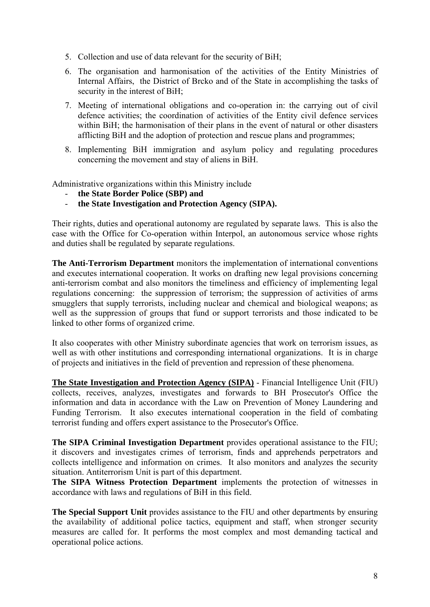- 5. Collection and use of data relevant for the security of BiH;
- 6. The organisation and harmonisation of the activities of the Entity Ministries of Internal Affairs, the District of Brcko and of the State in accomplishing the tasks of security in the interest of BiH;
- 7. Meeting of international obligations and co-operation in: the carrying out of civil defence activities; the coordination of activities of the Entity civil defence services within BiH; the harmonisation of their plans in the event of natural or other disasters afflicting BiH and the adoption of protection and rescue plans and programmes;
- 8. Implementing BiH immigration and asylum policy and regulating procedures concerning the movement and stay of aliens in BiH.

Administrative organizations within this Ministry include

- **the State Border Police (SBP) and**
- **the State Investigation and Protection Agency (SIPA).**

Their rights, duties and operational autonomy are regulated by separate laws. This is also the case with the Office for Co-operation within Interpol, an autonomous service whose rights and duties shall be regulated by separate regulations.

**The Anti-Terrorism Department** monitors the implementation of international conventions and executes international cooperation. It works on drafting new legal provisions concerning anti-terrorism combat and also monitors the timeliness and efficiency of implementing legal regulations concerning: the suppression of terrorism; the suppression of activities of arms smugglers that supply terrorists, including nuclear and chemical and biological weapons; as well as the suppression of groups that fund or support terrorists and those indicated to be linked to other forms of organized crime.

It also cooperates with other Ministry subordinate agencies that work on terrorism issues, as well as with other institutions and corresponding international organizations. It is in charge of projects and initiatives in the field of prevention and repression of these phenomena.

**The State Investigation and Protection Agency (SIPA)** - Financial Intelligence Unit (FIU) collects, receives, analyzes, investigates and forwards to BH Prosecutor's Office the information and data in accordance with the Law on Prevention of Money Laundering and Funding Terrorism. It also executes international cooperation in the field of combating terrorist funding and offers expert assistance to the Prosecutor's Office.

**The SIPA Criminal Investigation Department** provides operational assistance to the FIU; it discovers and investigates crimes of terrorism, finds and apprehends perpetrators and collects intelligence and information on crimes. It also monitors and analyzes the security situation. Antiterrorism Unit is part of this department.

**The SIPA Witness Protection Department** implements the protection of witnesses in accordance with laws and regulations of BiH in this field.

**The Special Support Unit** provides assistance to the FIU and other departments by ensuring the availability of additional police tactics, equipment and staff, when stronger security measures are called for. It performs the most complex and most demanding tactical and operational police actions.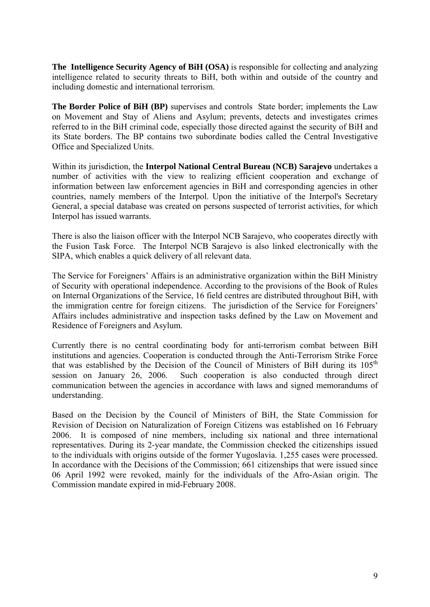**The Intelligence Security Agency of BiH (OSA)** is responsible for collecting and analyzing intelligence related to security threats to BiH, both within and outside of the country and including domestic and international terrorism.

**The Border Police of BiH (BP)** supervises and controls State border; implements the Law on Movement and Stay of Aliens and Asylum; prevents, detects and investigates crimes referred to in the BiH criminal code, especially those directed against the security of BiH and its State borders. The BP contains two subordinate bodies called the Central Investigative Office and Specialized Units.

Within its jurisdiction, the **Interpol National Central Bureau (NCB) Sarajevo** undertakes a number of activities with the view to realizing efficient cooperation and exchange of information between law enforcement agencies in BiH and corresponding agencies in other countries, namely members of the Interpol. Upon the initiative of the Interpol's Secretary General, a special database was created on persons suspected of terrorist activities, for which Interpol has issued warrants.

There is also the liaison officer with the Interpol NCB Sarajevo, who cooperates directly with the Fusion Task Force. The Interpol NCB Sarajevo is also linked electronically with the SIPA, which enables a quick delivery of all relevant data.

The Service for Foreigners' Affairs is an administrative organization within the BiH Ministry of Security with operational independence. According to the provisions of the Book of Rules on Internal Organizations of the Service, 16 field centres are distributed throughout BiH, with the immigration centre for foreign citizens. The jurisdiction of the Service for Foreigners' Affairs includes administrative and inspection tasks defined by the Law on Movement and Residence of Foreigners and Asylum.

Currently there is no central coordinating body for anti-terrorism combat between BiH institutions and agencies. Cooperation is conducted through the Anti-Terrorism Strike Force that was established by the Decision of the Council of Ministers of BiH during its  $105<sup>th</sup>$ session on January 26, 2006. Such cooperation is also conducted through direct communication between the agencies in accordance with laws and signed memorandums of understanding.

Based on the Decision by the Council of Ministers of BiH, the State Commission for Revision of Decision on Naturalization of Foreign Citizens was established on 16 February 2006. It is composed of nine members, including six national and three international representatives. During its 2-year mandate, the Commission checked the citizenships issued to the individuals with origins outside of the former Yugoslavia. 1,255 cases were processed. In accordance with the Decisions of the Commission; 661 citizenships that were issued since 06 April 1992 were revoked, mainly for the individuals of the Afro-Asian origin. The Commission mandate expired in mid-February 2008.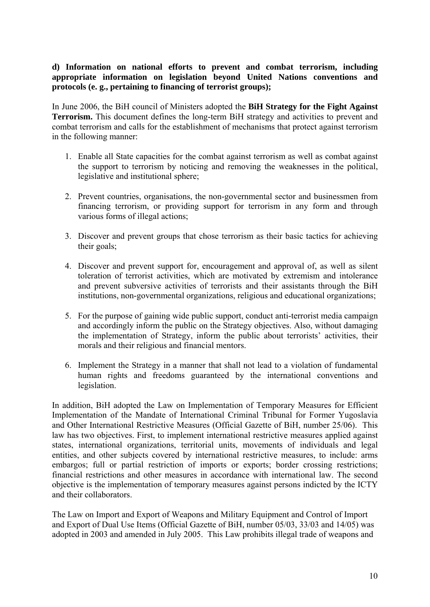## **d) Information on national efforts to prevent and combat terrorism, including appropriate information on legislation beyond United Nations conventions and protocols (e. g., pertaining to financing of terrorist groups);**

In June 2006, the BiH council of Ministers adopted the **BiH Strategy for the Fight Against Terrorism.** This document defines the long-term BiH strategy and activities to prevent and combat terrorism and calls for the establishment of mechanisms that protect against terrorism in the following manner:

- 1. Enable all State capacities for the combat against terrorism as well as combat against the support to terrorism by noticing and removing the weaknesses in the political, legislative and institutional sphere;
- 2. Prevent countries, organisations, the non-governmental sector and businessmen from financing terrorism, or providing support for terrorism in any form and through various forms of illegal actions;
- 3. Discover and prevent groups that chose terrorism as their basic tactics for achieving their goals;
- 4. Discover and prevent support for, encouragement and approval of, as well as silent toleration of terrorist activities, which are motivated by extremism and intolerance and prevent subversive activities of terrorists and their assistants through the BiH institutions, non-governmental organizations, religious and educational organizations;
- 5. For the purpose of gaining wide public support, conduct anti-terrorist media campaign and accordingly inform the public on the Strategy objectives. Also, without damaging the implementation of Strategy, inform the public about terrorists' activities, their morals and their religious and financial mentors.
- 6. Implement the Strategy in a manner that shall not lead to a violation of fundamental human rights and freedoms guaranteed by the international conventions and legislation.

In addition, BiH adopted the Law on Implementation of Temporary Measures for Efficient Implementation of the Mandate of International Criminal Tribunal for Former Yugoslavia and Other International Restrictive Measures (Official Gazette of BiH, number 25/06). This law has two objectives. First, to implement international restrictive measures applied against states, international organizations, territorial units, movements of individuals and legal entities, and other subjects covered by international restrictive measures, to include: arms embargos; full or partial restriction of imports or exports; border crossing restrictions; financial restrictions and other measures in accordance with international law. The second objective is the implementation of temporary measures against persons indicted by the ICTY and their collaborators.

The Law on Import and Export of Weapons and Military Equipment and Control of Import and Export of Dual Use Items (Official Gazette of BiH, number 05/03, 33/03 and 14/05) was adopted in 2003 and amended in July 2005. This Law prohibits illegal trade of weapons and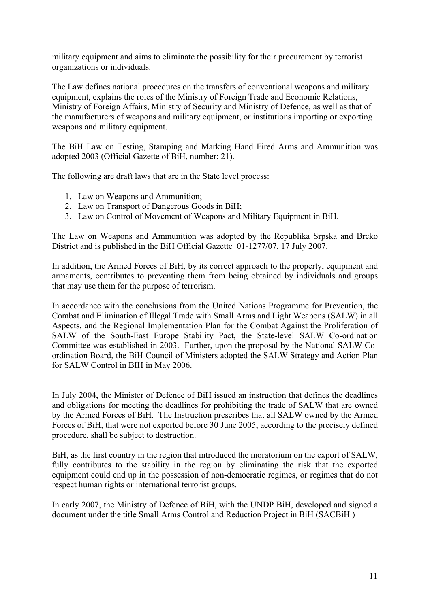military equipment and aims to eliminate the possibility for their procurement by terrorist organizations or individuals.

The Law defines national procedures on the transfers of conventional weapons and military equipment, explains the roles of the Ministry of Foreign Trade and Economic Relations, Ministry of Foreign Affairs, Ministry of Security and Ministry of Defence, as well as that of the manufacturers of weapons and military equipment, or institutions importing or exporting weapons and military equipment.

The BiH Law on Testing, Stamping and Marking Hand Fired Arms and Ammunition was adopted 2003 (Official Gazette of BiH, number: 21).

The following are draft laws that are in the State level process:

- 1. Law on Weapons and Ammunition;
- 2. Law on Transport of Dangerous Goods in BiH;
- 3. Law on Control of Movement of Weapons and Military Equipment in BiH.

The Law on Weapons and Ammunition was adopted by the Republika Srpska and Brcko District and is published in the BiH Official Gazette 01-1277/07, 17 July 2007.

In addition, the Armed Forces of BiH, by its correct approach to the property, equipment and armaments, contributes to preventing them from being obtained by individuals and groups that may use them for the purpose of terrorism.

In accordance with the conclusions from the United Nations Programme for Prevention, the Combat and Elimination of Illegal Trade with Small Arms and Light Weapons (SALW) in all Aspects, and the Regional Implementation Plan for the Combat Against the Proliferation of SALW of the South-East Europe Stability Pact, the State-level SALW Co-ordination Committee was established in 2003. Further, upon the proposal by the National SALW Coordination Board, the BiH Council of Ministers adopted the SALW Strategy and Action Plan for SALW Control in BIH in May 2006.

In July 2004, the Minister of Defence of BiH issued an instruction that defines the deadlines and obligations for meeting the deadlines for prohibiting the trade of SALW that are owned by the Armed Forces of BiH. The Instruction prescribes that all SALW owned by the Armed Forces of BiH, that were not exported before 30 June 2005, according to the precisely defined procedure, shall be subject to destruction.

BiH, as the first country in the region that introduced the moratorium on the export of SALW, fully contributes to the stability in the region by eliminating the risk that the exported equipment could end up in the possession of non-democratic regimes, or regimes that do not respect human rights or international terrorist groups.

In early 2007, the Ministry of Defence of BiH, with the UNDP BiH, developed and signed a document under the title Small Arms Control and Reduction Project in BiH (SACBiH )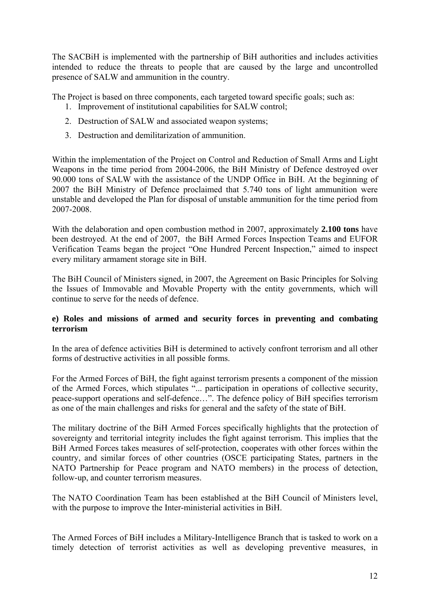The SACBiH is implemented with the partnership of BiH authorities and includes activities intended to reduce the threats to people that are caused by the large and uncontrolled presence of SALW and ammunition in the country.

The Project is based on three components, each targeted toward specific goals; such as:

- 1. Improvement of institutional capabilities for SALW control;
- 2. Destruction of SALW and associated weapon systems;
- 3. Destruction and demilitarization of ammunition.

Within the implementation of the Project on Control and Reduction of Small Arms and Light Weapons in the time period from 2004-2006, the BiH Ministry of Defence destroyed over 90.000 tons of SALW with the assistance of the UNDP Office in BiH. At the beginning of 2007 the BiH Ministry of Defence proclaimed that 5.740 tons of light ammunition were unstable and developed the Plan for disposal of unstable ammunition for the time period from 2007-2008.

With the delaboration and open combustion method in 2007, approximately **2.100 tons** have been destroyed. At the end of 2007, the BiH Armed Forces Inspection Teams and EUFOR Verification Teams began the project "One Hundred Percent Inspection," aimed to inspect every military armament storage site in BiH.

The BiH Council of Ministers signed, in 2007, the Agreement on Basic Principles for Solving the Issues of Immovable and Movable Property with the entity governments, which will continue to serve for the needs of defence.

# **e) Roles and missions of armed and security forces in preventing and combating terrorism**

In the area of defence activities BiH is determined to actively confront terrorism and all other forms of destructive activities in all possible forms.

For the Armed Forces of BiH, the fight against terrorism presents a component of the mission of the Armed Forces, which stipulates "... participation in operations of collective security, peace-support operations and self-defence…". The defence policy of BiH specifies terrorism as one of the main challenges and risks for general and the safety of the state of BiH.

The military doctrine of the BiH Armed Forces specifically highlights that the protection of sovereignty and territorial integrity includes the fight against terrorism. This implies that the BiH Armed Forces takes measures of self-protection, cooperates with other forces within the country, and similar forces of other countries (OSCE participating States, partners in the NATO Partnership for Peace program and NATO members) in the process of detection, follow-up, and counter terrorism measures.

The NATO Coordination Team has been established at the BiH Council of Ministers level, with the purpose to improve the Inter-ministerial activities in BiH.

The Armed Forces of BiH includes a Military-Intelligence Branch that is tasked to work on a timely detection of terrorist activities as well as developing preventive measures, in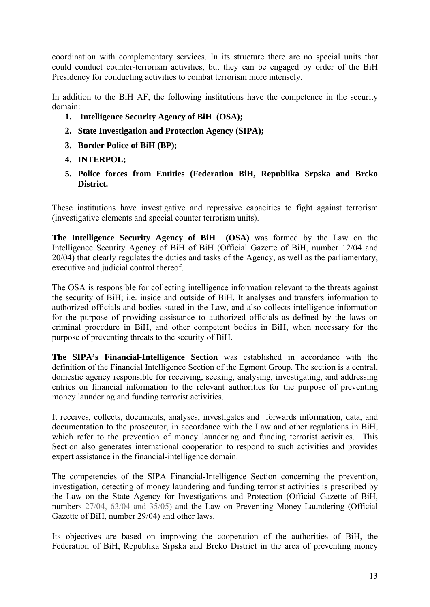coordination with complementary services. In its structure there are no special units that could conduct counter-terrorism activities, but they can be engaged by order of the BiH Presidency for conducting activities to combat terrorism more intensely.

In addition to the BiH AF, the following institutions have the competence in the security domain:

- **1. Intelligence Security Agency of BiH (OSA);**
- **2. State Investigation and Protection Agency (SIPA);**
- **3. Border Police of BiH (BP);**
- **4. INTERPOL;**
- **5. Police forces from Entities (Federation BiH, Republika Srpska and Brcko District.**

These institutions have investigative and repressive capacities to fight against terrorism (investigative elements and special counter terrorism units).

**The Intelligence Security Agency of BiH (OSA)** was formed by the Law on the Intelligence Security Agency of BiH of BiH (Official Gazette of BiH, number 12/04 and 20/04) that clearly regulates the duties and tasks of the Agency, as well as the parliamentary, executive and judicial control thereof.

The OSA is responsible for collecting intelligence information relevant to the threats against the security of BiH; i.e. inside and outside of BiH. It analyses and transfers information to authorized officials and bodies stated in the Law, and also collects intelligence information for the purpose of providing assistance to authorized officials as defined by the laws on criminal procedure in BiH, and other competent bodies in BiH, when necessary for the purpose of preventing threats to the security of BiH.

**The SIPA's Financial-Intelligence Section** was established in accordance with the definition of the Financial Intelligence Section of the Egmont Group. The section is a central, domestic agency responsible for receiving, seeking, analysing, investigating, and addressing entries on financial information to the relevant authorities for the purpose of preventing money laundering and funding terrorist activities.

It receives, collects, documents, analyses, investigates and forwards information, data, and documentation to the prosecutor, in accordance with the Law and other regulations in BiH, which refer to the prevention of money laundering and funding terrorist activities. This Section also generates international cooperation to respond to such activities and provides expert assistance in the financial-intelligence domain.

The competencies of the SIPA Financial-Intelligence Section concerning the prevention, investigation, detecting of money laundering and funding terrorist activities is prescribed by the Law on the State Agency for Investigations and Protection (Official Gazette of BiH, numbers 27/04, 63/04 and 35/05) and the Law on Preventing Money Laundering (Official Gazette of BiH, number 29/04) and other laws.

Its objectives are based on improving the cooperation of the authorities of BiH, the Federation of BiH, Republika Srpska and Brcko District in the area of preventing money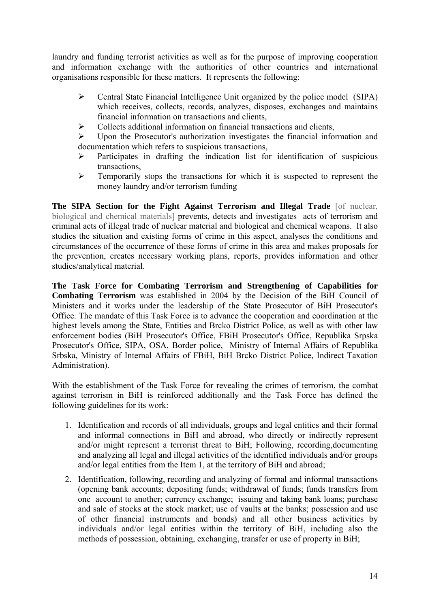laundry and funding terrorist activities as well as for the purpose of improving cooperation and information exchange with the authorities of other countries and international organisations responsible for these matters. It represents the following:

- ¾ Central State Financial Intelligence Unit organized by the police model (SIPA) which receives, collects, records, analyzes, disposes, exchanges and maintains financial information on transactions and clients,
- $\triangleright$  Collects additional information on financial transactions and clients,

¾ Upon the Prosecutor's authorization investigates the financial information and documentation which refers to suspicious transactions,

- $\triangleright$  Participates in drafting the indication list for identification of suspicious transactions,
- $\triangleright$  Temporarily stops the transactions for which it is suspected to represent the money laundry and/or terrorism funding

**The SIPA Section for the Fight Against Terrorism and Illegal Trade** [of nuclear, biological and chemical materials] prevents, detects and investigates acts of terrorism and criminal acts of illegal trade of nuclear material and biological and chemical weapons. It also studies the situation and existing forms of crime in this aspect, analyses the conditions and circumstances of the occurrence of these forms of crime in this area and makes proposals for the prevention, creates necessary working plans, reports, provides information and other studies/analytical material.

**The Task Force for Combating Terrorism and Strengthening of Capabilities for Combating Terrorism** was established in 2004 by the Decision of the BiH Council of Ministers and it works under the leadership of the State Prosecutor of BiH Prosecutor's Office. The mandate of this Task Force is to advance the cooperation and coordination at the highest levels among the State, Entities and Brcko District Police, as well as with other law enforcement bodies (BiH Prosecutor's Office, FBiH Prosecutor's Office, Republika Srpska Prosecutor's Office, SIPA, OSA, Border police, Ministry of Internal Affairs of Republika Srbska, Ministry of Internal Affairs of FBiH, BiH Brcko District Police, Indirect Taxation Administration).

With the establishment of the Task Force for revealing the crimes of terrorism, the combat against terrorism in BiH is reinforced additionally and the Task Force has defined the following guidelines for its work:

- 1. Identification and records of all individuals, groups and legal entities and their formal and informal connections in BiH and abroad, who directly or indirectly represent and/or might represent a terrorist threat to BiH; Following, recording,documenting and analyzing all legal and illegal activities of the identified individuals and/or groups and/or legal entities from the Item 1, at the territory of BiH and abroad;
- 2. Identification, following, recording and analyzing of formal and informal transactions (opening bank accounts; depositing funds; withdrawal of funds; funds transfers from one account to another; currency exchange; issuing and taking bank loans; purchase and sale of stocks at the stock market; use of vaults at the banks; possession and use of other financial instruments and bonds) and all other business activities by individuals and/or legal entities within the territory of BiH, including also the methods of possession, obtaining, exchanging, transfer or use of property in BiH;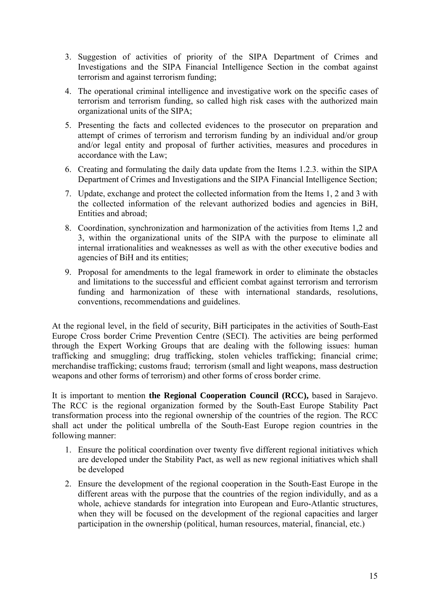- 3. Suggestion of activities of priority of the SIPA Department of Crimes and Investigations and the SIPA Financial Intelligence Section in the combat against terrorism and against terrorism funding;
- 4. The operational criminal intelligence and investigative work on the specific cases of terrorism and terrorism funding, so called high risk cases with the authorized main organizational units of the SIPA;
- 5. Presenting the facts and collected evidences to the prosecutor on preparation and attempt of crimes of terrorism and terrorism funding by an individual and/or group and/or legal entity and proposal of further activities, measures and procedures in accordance with the Law;
- 6. Creating and formulating the daily data update from the Items 1.2.3. within the SIPA Department of Crimes and Investigations and the SIPA Financial Intelligence Section;
- 7. Update, exchange and protect the collected information from the Items 1, 2 and 3 with the collected information of the relevant authorized bodies and agencies in BiH, Entities and abroad;
- 8. Coordination, synchronization and harmonization of the activities from Items 1,2 and 3, within the organizational units of the SIPA with the purpose to eliminate all internal irrationalities and weaknesses as well as with the other executive bodies and agencies of BiH and its entities;
- 9. Proposal for amendments to the legal framework in order to eliminate the obstacles and limitations to the successful and efficient combat against terrorism and terrorism funding and harmonization of these with international standards, resolutions, conventions, recommendations and guidelines.

At the regional level, in the field of security, BiH participates in the activities of South-East Europe Cross border Crime Prevention Centre (SECI). The activities are being performed through the Expert Working Groups that are dealing with the following issues: human trafficking and smuggling; drug trafficking, stolen vehicles trafficking; financial crime; merchandise trafficking; customs fraud; terrorism (small and light weapons, mass destruction weapons and other forms of terrorism) and other forms of cross border crime.

It is important to mention **the Regional Cooperation Council (RCC),** based in Sarajevo. The RCC is the regional organization formed by the South-East Europe Stability Pact transformation process into the regional ownership of the countries of the region. The RCC shall act under the political umbrella of the South-East Europe region countries in the following manner:

- 1. Ensure the political coordination over twenty five different regional initiatives which are developed under the Stability Pact, as well as new regional initiatives which shall be developed
- 2. Ensure the development of the regional cooperation in the South-East Europe in the different areas with the purpose that the countries of the region individully, and as a whole, achieve standards for integration into European and Euro-Atlantic structures, when they will be focused on the development of the regional capacities and larger participation in the ownership (political, human resources, material, financial, etc.)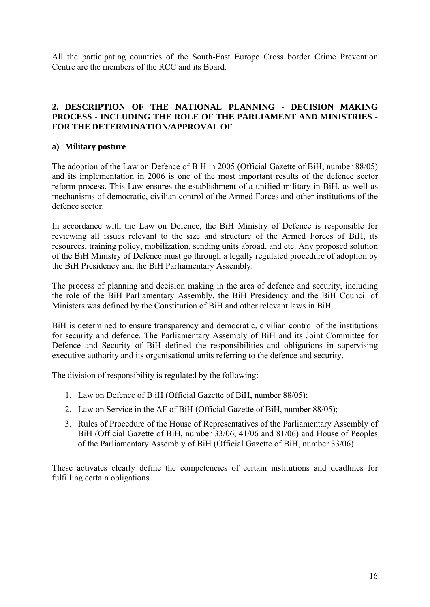All the participating countries of the South-East Europe Cross border Crime Prevention Centre are the members of the RCC and its Board.

### **2. DESCRIPTION OF THE NATIONAL PLANNING - DECISION MAKING PROCESS - INCLUDING THE ROLE OF THE PARLIAMENT AND MINISTRIES - FOR THE DETERMINATION/APPROVAL OF**

### **a) Military posture**

The adoption of the Law on Defence of BiH in 2005 (Official Gazette of BiH, number 88/05) and its implementation in 2006 is one of the most important results of the defence sector reform process. This Law ensures the establishment of a unified military in BiH, as well as mechanisms of democratic, civilian control of the Armed Forces and other institutions of the defence sector.

In accordance with the Law on Defence, the BiH Ministry of Defence is responsible for reviewing all issues relevant to the size and structure of the Armed Forces of BiH, its resources, training policy, mobilization, sending units abroad, and etc. Any proposed solution of the BiH Ministry of Defence must go through a legally regulated procedure of adoption by the BiH Presidency and the BiH Parliamentary Assembly.

The process of planning and decision making in the area of defence and security, including the role of the BiH Parliamentary Assembly, the BiH Presidency and the BiH Council of Ministers was defined by the Constitution of BiH and other relevant laws in BiH.

BiH is determined to ensure transparency and democratic, civilian control of the institutions for security and defence. The Parliamentary Assembly of BiH and its Joint Committee for Defence and Security of BiH defined the responsibilities and obligations in supervising executive authority and its organisational units referring to the defence and security.

The division of responsibility is regulated by the following:

- 1. Law on Defence of B iH (Official Gazette of BiH, number 88/05);
- 2. Law on Service in the AF of BiH (Official Gazette of BiH, number 88/05);
- 3. Rules of Procedure of the House of Representatives of the Parliamentary Assembly of BiH (Official Gazette of BiH, number 33/06, 41/06 and 81/06) and House of Peoples of the Parliamentary Assembly of BiH (Official Gazette of BiH, number 33/06).

These activates clearly define the competencies of certain institutions and deadlines for fulfilling certain obligations.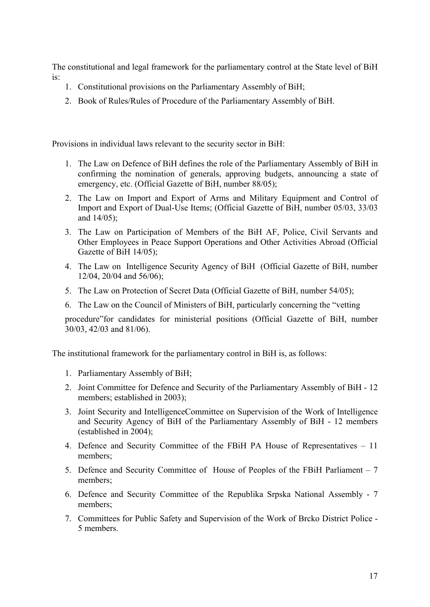The constitutional and legal framework for the parliamentary control at the State level of BiH is:

- 1. Constitutional provisions on the Parliamentary Assembly of BiH;
- 2. Book of Rules/Rules of Procedure of the Parliamentary Assembly of BiH.

Provisions in individual laws relevant to the security sector in BiH:

- 1. The Law on Defence of BiH defines the role of the Parliamentary Assembly of BiH in confirming the nomination of generals, approving budgets, announcing a state of emergency, etc. (Official Gazette of BiH, number 88/05);
- 2. The Law on Import and Export of Arms and Military Equipment and Control of Import and Export of Dual-Use Items; (Official Gazette of BiH, number 05/03, 33/03 and 14/05);
- 3. The Law on Participation of Members of the BiH AF, Police, Civil Servants and Other Employees in Peace Support Operations and Other Activities Abroad (Official Gazette of BiH 14/05);
- 4. The Law on Intelligence Security Agency of BiH (Official Gazette of BiH, number 12/04, 20/04 and 56/06);
- 5. The Law on Protection of Secret Data (Official Gazette of BiH, number 54/05);
- 6. The Law on the Council of Ministers of BiH, particularly concerning the "vetting

procedure"for candidates for ministerial positions (Official Gazette of BiH, number 30/03, 42/03 and 81/06).

The institutional framework for the parliamentary control in BiH is, as follows:

- 1. Parliamentary Assembly of BiH;
- 2. Joint Committee for Defence and Security of the Parliamentary Assembly of BiH 12 members; established in 2003);
- 3. Joint Security and IntelligenceCommittee on Supervision of the Work of Intelligence and Security Agency of BiH of the Parliamentary Assembly of BiH - 12 members (established in 2004);
- 4. Defence and Security Committee of the FBiH PA House of Representatives 11 members;
- 5. Defence and Security Committee of House of Peoples of the FBiH Parliament 7 members;
- 6. Defence and Security Committee of the Republika Srpska National Assembly 7 members;
- 7. Committees for Public Safety and Supervision of the Work of Brcko District Police 5 members.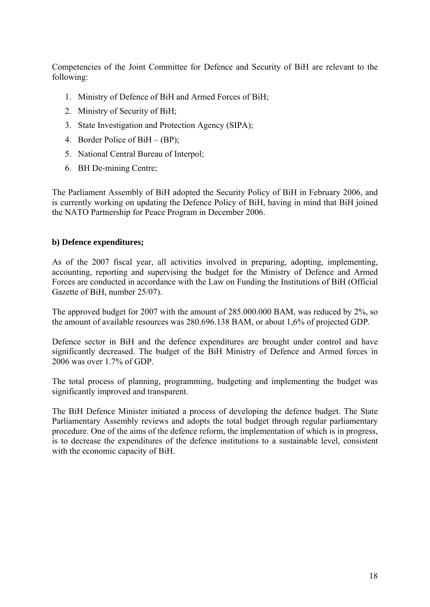Competencies of the Joint Committee for Defence and Security of BiH are relevant to the following:

- 1. Ministry of Defence of BiH and Armed Forces of BiH;
- 2. Ministry of Security of BiH;
- 3. State Investigation and Protection Agency (SIPA);
- 4. Border Police of BiH (BP);
- 5. National Central Bureau of Interpol;
- 6. BH De-mining Centre;

The Parliament Assembly of BiH adopted the Security Policy of BiH in February 2006, and is currently working on updating the Defence Policy of BiH, having in mind that BiH joined the NATO Partnership for Peace Program in December 2006.

## **b) Defence expenditures;**

As of the 2007 fiscal year, all activities involved in preparing, adopting, implementing, accounting, reporting and supervising the budget for the Ministry of Defence and Armed Forces are conducted in accordance with the Law on Funding the Institutions of BiH (Official Gazette of BiH, number 25/07).

The approved budget for 2007 with the amount of 285.000.000 BAM, was reduced by 2%, so the amount of available resources was 280.696.138 BAM, or about 1,6% of projected GDP.

Defence sector in BiH and the defence expenditures are brought under control and have significantly decreased. The budget of the BiH Ministry of Defence and Armed forces in 2006 was over 1.7% of GDP.

The total process of planning, programming, budgeting and implementing the budget was significantly improved and transparent.

The BiH Defence Minister initiated a process of developing the defence budget. The State Parliamentary Assembly reviews and adopts the total budget through regular parliamentary procedure. One of the aims of the defence reform, the implementation of which is in progress, is to decrease the expenditures of the defence institutions to a sustainable level, consistent with the economic capacity of BiH.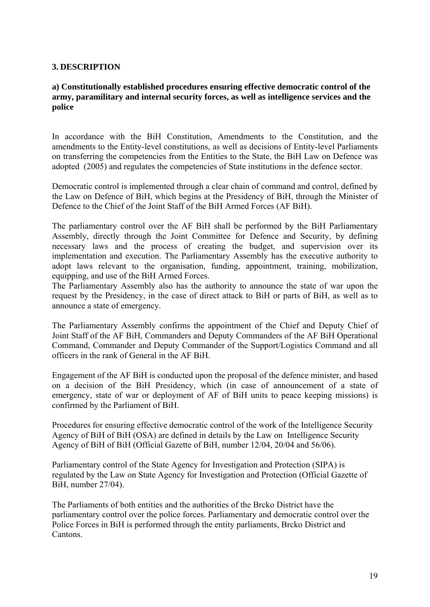### **3. DESCRIPTION**

### **a) Constitutionally established procedures ensuring effective democratic control of the army, paramilitary and internal security forces, as well as intelligence services and the police**

In accordance with the BiH Constitution, Amendments to the Constitution, and the amendments to the Entity-level constitutions, as well as decisions of Entity-level Parliaments on transferring the competencies from the Entities to the State, the BiH Law on Defence was adopted (2005) and regulates the competencies of State institutions in the defence sector.

Democratic control is implemented through a clear chain of command and control, defined by the Law on Defence of BiH, which begins at the Presidency of BiH, through the Minister of Defence to the Chief of the Joint Staff of the BiH Armed Forces (AF BiH).

The parliamentary control over the AF BiH shall be performed by the BiH Parliamentary Assembly, directly through the Joint Committee for Defence and Security, by defining necessary laws and the process of creating the budget, and supervision over its implementation and execution. The Parliamentary Assembly has the executive authority to adopt laws relevant to the organisation, funding, appointment, training, mobilization, equipping, and use of the BiH Armed Forces.

The Parliamentary Assembly also has the authority to announce the state of war upon the request by the Presidency, in the case of direct attack to BiH or parts of BiH, as well as to announce a state of emergency.

The Parliamentary Assembly confirms the appointment of the Chief and Deputy Chief of Joint Staff of the AF BiH, Commanders and Deputy Commanders of the AF BiH Operational Command, Commander and Deputy Commander of the Support/Logistics Command and all officers in the rank of General in the AF BiH.

Engagement of the AF BiH is conducted upon the proposal of the defence minister, and based on a decision of the BiH Presidency, which (in case of announcement of a state of emergency, state of war or deployment of AF of BiH units to peace keeping missions) is confirmed by the Parliament of BiH.

Procedures for ensuring effective democratic control of the work of the Intelligence Security Agency of BiH of BiH (OSA) are defined in details by the Law on Intelligence Security Agency of BiH of BiH (Official Gazette of BiH, number 12/04, 20/04 and 56/06).

Parliamentary control of the State Agency for Investigation and Protection (SIPA) is regulated by the Law on State Agency for Investigation and Protection (Official Gazette of BiH, number 27/04).

The Parliaments of both entities and the authorities of the Brcko District have the parliamentary control over the police forces. Parliamentary and democratic control over the Police Forces in BiH is performed through the entity parliaments, Brcko District and Cantons.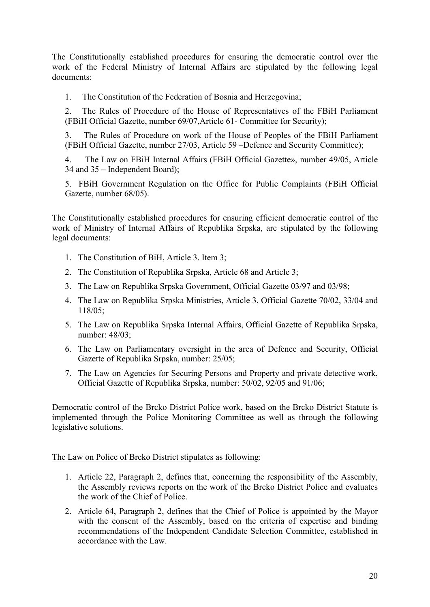The Constitutionally established procedures for ensuring the democratic control over the work of the Federal Ministry of Internal Affairs are stipulated by the following legal documents:

1. The Constitution of the Federation of Bosnia and Herzegovina;

2. The Rules of Procedure of the House of Representatives of the FBiH Parliament (FBiH Official Gazette, number 69/07,Article 61- Committee for Security);

3. The Rules of Procedure on work of the House of Peoples of the FBiH Parliament (FBiH Official Gazette, number 27/03, Article 59 –Defence and Security Committee);

4. The Law on FBiH Internal Affairs (FBiH Official Gazette», number 49/05, Article 34 and 35 – Independent Board);

5. FBiH Government Regulation on the Office for Public Complaints (FBiH Official Gazette, number 68/05).

The Constitutionally established procedures for ensuring efficient democratic control of the work of Ministry of Internal Affairs of Republika Srpska, are stipulated by the following legal documents:

- 1. The Constitution of BiH, Article 3. Item 3;
- 2. The Constitution of Republika Srpska, Article 68 and Article 3;
- 3. The Law on Republika Srpska Government, Official Gazette 03/97 and 03/98;
- 4. The Law on Republika Srpska Ministries, Article 3, Official Gazette 70/02, 33/04 and 118/05;
- 5. The Law on Republika Srpska Internal Affairs, Official Gazette of Republika Srpska, number: 48/03;
- 6. The Law on Parliamentary oversight in the area of Defence and Security, Official Gazette of Republika Srpska, number: 25/05;
- 7. The Law on Agencies for Securing Persons and Property and private detective work, Official Gazette of Republika Srpska, number: 50/02, 92/05 and 91/06;

Democratic control of the Brcko District Police work, based on the Brcko District Statute is implemented through the Police Monitoring Committee as well as through the following legislative solutions.

## The Law on Police of Brcko District stipulates as following:

- 1. Article 22, Paragraph 2, defines that, concerning the responsibility of the Assembly, the Assembly reviews reports on the work of the Brcko District Police and evaluates the work of the Chief of Police.
- 2. Article 64, Paragraph 2, defines that the Chief of Police is appointed by the Mayor with the consent of the Assembly, based on the criteria of expertise and binding recommendations of the Independent Candidate Selection Committee, established in accordance with the Law.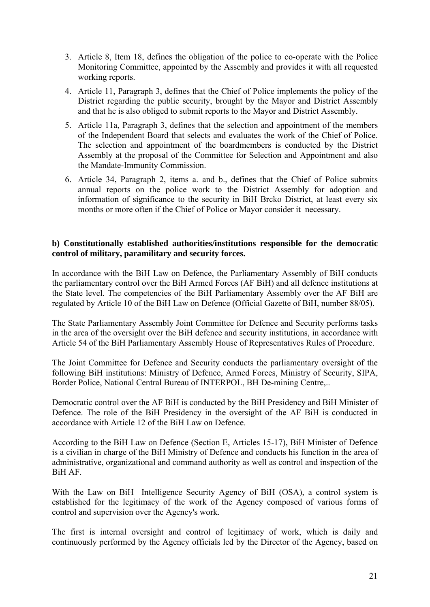- 3. Article 8, Item 18, defines the obligation of the police to co-operate with the Police Monitoring Committee, appointed by the Assembly and provides it with all requested working reports.
- 4. Article 11, Paragraph 3, defines that the Chief of Police implements the policy of the District regarding the public security, brought by the Mayor and District Assembly and that he is also obliged to submit reports to the Mayor and District Assembly.
- 5. Article 11a, Paragraph 3, defines that the selection and appointment of the members of the Independent Board that selects and evaluates the work of the Chief of Police. The selection and appointment of the boardmembers is conducted by the District Assembly at the proposal of the Committee for Selection and Appointment and also the Mandate-Immunity Commission.
- 6. Article 34, Paragraph 2, items a. and b., defines that the Chief of Police submits annual reports on the police work to the District Assembly for adoption and information of significance to the security in BiH Brcko District, at least every six months or more often if the Chief of Police or Mayor consider it necessary.

### **b) Constitutionally established authorities/institutions responsible for the democratic control of military, paramilitary and security forces.**

In accordance with the BiH Law on Defence, the Parliamentary Assembly of BiH conducts the parliamentary control over the BiH Armed Forces (AF BiH) and all defence institutions at the State level. The competencies of the BiH Parliamentary Assembly over the AF BiH are regulated by Article 10 of the BiH Law on Defence (Official Gazette of BiH, number 88/05).

The State Parliamentary Assembly Joint Committee for Defence and Security performs tasks in the area of the oversight over the BiH defence and security institutions, in accordance with Article 54 of the BiH Parliamentary Assembly House of Representatives Rules of Procedure.

The Joint Committee for Defence and Security conducts the parliamentary oversight of the following BiH institutions: Ministry of Defence, Armed Forces, Ministry of Security, SIPA, Border Police, National Central Bureau of INTERPOL, BH De-mining Centre,..

Democratic control over the AF BiH is conducted by the BiH Presidency and BiH Minister of Defence. The role of the BiH Presidency in the oversight of the AF BiH is conducted in accordance with Article 12 of the BiH Law on Defence.

According to the BiH Law on Defence (Section E, Articles 15-17), BiH Minister of Defence is a civilian in charge of the BiH Ministry of Defence and conducts his function in the area of administrative, organizational and command authority as well as control and inspection of the BiH AF.

With the Law on BiH Intelligence Security Agency of BiH (OSA), a control system is established for the legitimacy of the work of the Agency composed of various forms of control and supervision over the Agency's work.

The first is internal oversight and control of legitimacy of work, which is daily and continuously performed by the Agency officials led by the Director of the Agency, based on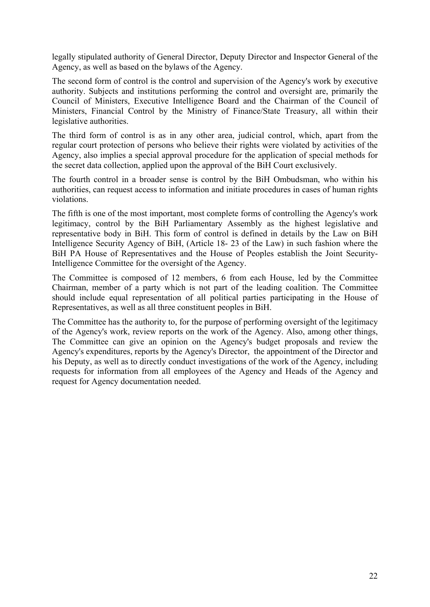legally stipulated authority of General Director, Deputy Director and Inspector General of the Agency, as well as based on the bylaws of the Agency.

The second form of control is the control and supervision of the Agency's work by executive authority. Subjects and institutions performing the control and oversight are, primarily the Council of Ministers, Executive Intelligence Board and the Chairman of the Council of Ministers, Financial Control by the Ministry of Finance/State Treasury, all within their legislative authorities.

The third form of control is as in any other area, judicial control, which, apart from the regular court protection of persons who believe their rights were violated by activities of the Agency, also implies a special approval procedure for the application of special methods for the secret data collection, applied upon the approval of the BiH Court exclusively.

The fourth control in a broader sense is control by the BiH Ombudsman, who within his authorities, can request access to information and initiate procedures in cases of human rights violations.

The fifth is one of the most important, most complete forms of controlling the Agency's work legitimacy, control by the BiH Parliamentary Assembly as the highest legislative and representative body in BiH. This form of control is defined in details by the Law on BiH Intelligence Security Agency of BiH, (Article 18- 23 of the Law) in such fashion where the BiH PA House of Representatives and the House of Peoples establish the Joint Security-Intelligence Committee for the oversight of the Agency.

The Committee is composed of 12 members, 6 from each House, led by the Committee Chairman, member of a party which is not part of the leading coalition. The Committee should include equal representation of all political parties participating in the House of Representatives, as well as all three constituent peoples in BiH.

The Committee has the authority to, for the purpose of performing oversight of the legitimacy of the Agency's work, review reports on the work of the Agency. Also, among other things, The Committee can give an opinion on the Agency's budget proposals and review the Agency's expenditures, reports by the Agency's Director, the appointment of the Director and his Deputy, as well as to directly conduct investigations of the work of the Agency, including requests for information from all employees of the Agency and Heads of the Agency and request for Agency documentation needed.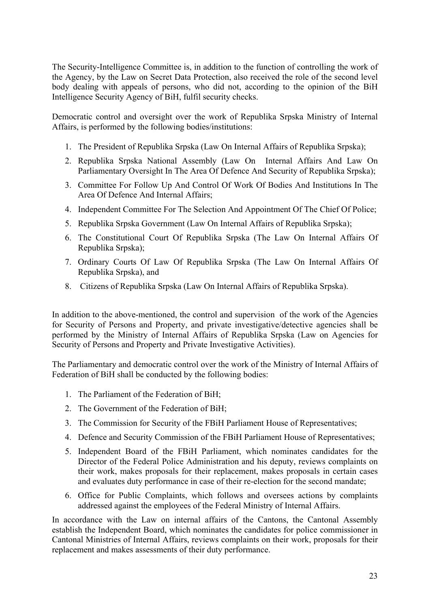The Security-Intelligence Committee is, in addition to the function of controlling the work of the Agency, by the Law on Secret Data Protection, also received the role of the second level body dealing with appeals of persons, who did not, according to the opinion of the BiH Intelligence Security Agency of BiH, fulfil security checks.

Democratic control and oversight over the work of Republika Srpska Ministry of Internal Affairs, is performed by the following bodies/institutions:

- 1. The President of Republika Srpska (Law On Internal Affairs of Republika Srpska);
- 2. Republika Srpska National Assembly (Law On Internal Affairs And Law On Parliamentary Oversight In The Area Of Defence And Security of Republika Srpska);
- 3. Committee For Follow Up And Control Of Work Of Bodies And Institutions In The Area Of Defence And Internal Affairs;
- 4. Independent Committee For The Selection And Appointment Of The Chief Of Police;
- 5. Republika Srpska Government (Law On Internal Affairs of Republika Srpska);
- 6. The Constitutional Court Of Republika Srpska (The Law On Internal Affairs Of Republika Srpska);
- 7. Ordinary Courts Of Law Of Republika Srpska (The Law On Internal Affairs Of Republika Srpska), and
- 8. Citizens of Republika Srpska (Law On Internal Affairs of Republika Srpska).

In addition to the above-mentioned, the control and supervision of the work of the Agencies for Security of Persons and Property, and private investigative/detective agencies shall be performed by the Ministry of Internal Affairs of Republika Srpska (Law on Agencies for Security of Persons and Property and Private Investigative Activities).

The Parliamentary and democratic control over the work of the Ministry of Internal Affairs of Federation of BiH shall be conducted by the following bodies:

- 1. The Parliament of the Federation of BiH;
- 2. The Government of the Federation of BiH;
- 3. The Commission for Security of the FBiH Parliament House of Representatives;
- 4. Defence and Security Commission of the FBiH Parliament House of Representatives;
- 5. Independent Board of the FBiH Parliament, which nominates candidates for the Director of the Federal Police Administration and his deputy, reviews complaints on their work, makes proposals for their replacement, makes proposals in certain cases and evaluates duty performance in case of their re-election for the second mandate;
- 6. Office for Public Complaints, which follows and oversees actions by complaints addressed against the employees of the Federal Ministry of Internal Affairs.

In accordance with the Law on internal affairs of the Cantons, the Cantonal Assembly establish the Independent Board, which nominates the candidates for police commissioner in Cantonal Ministries of Internal Affairs, reviews complaints on their work, proposals for their replacement and makes assessments of their duty performance.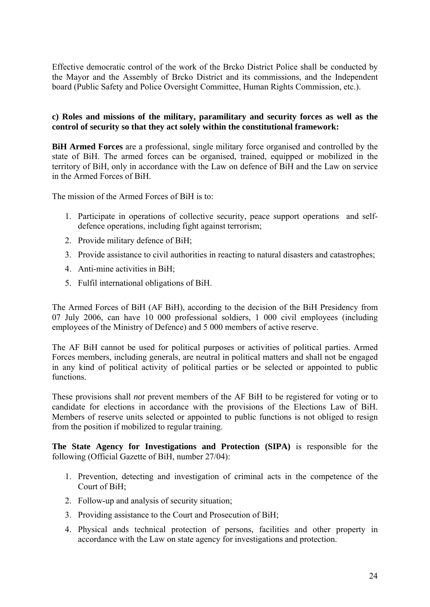Effective democratic control of the work of the Brcko District Police shall be conducted by the Mayor and the Assembly of Brcko District and its commissions, and the Independent board (Public Safety and Police Oversight Committee, Human Rights Commission, etc.).

### **c) Roles and missions of the military, paramilitary and security forces as well as the control of security so that they act solely within the constitutional framework:**

**BiH Armed Forces** are a professional, single military force organised and controlled by the state of BiH. The armed forces can be organised, trained, equipped or mobilized in the territory of BiH, only in accordance with the Law on defence of BiH and the Law on service in the Armed Forces of BiH.

The mission of the Armed Forces of BiH is to:

- 1. Participate in operations of collective security, peace support operations and selfdefence operations, including fight against terrorism;
- 2. Provide military defence of BiH;
- 3. Provide assistance to civil authorities in reacting to natural disasters and catastrophes;
- 4. Anti-mine activities in BiH;
- 5. Fulfil international obligations of BiH.

The Armed Forces of BiH (AF BiH), according to the decision of the BiH Presidency from 07 July 2006, can have 10 000 professional soldiers, 1 000 civil employees (including employees of the Ministry of Defence) and 5 000 members of active reserve.

The AF BiH cannot be used for political purposes or activities of political parties. Armed Forces members, including generals, are neutral in political matters and shall not be engaged in any kind of political activity of political parties or be selected or appointed to public functions.

These provisions shall *not* prevent members of the AF BiH to be registered for voting or to candidate for elections in accordance with the provisions of the Elections Law of BiH. Members of reserve units selected or appointed to public functions is not obliged to resign from the position if mobilized to regular training.

**The State Agency for Investigations and Protection (SIPA)** is responsible for the following (Official Gazette of BiH, number 27/04):

- 1. Prevention, detecting and investigation of criminal acts in the competence of the Court of BiH;
- 2. Follow-up and analysis of security situation;
- 3. Providing assistance to the Court and Prosecution of BiH;
- 4. Physical ands technical protection of persons, facilities and other property in accordance with the Law on state agency for investigations and protection.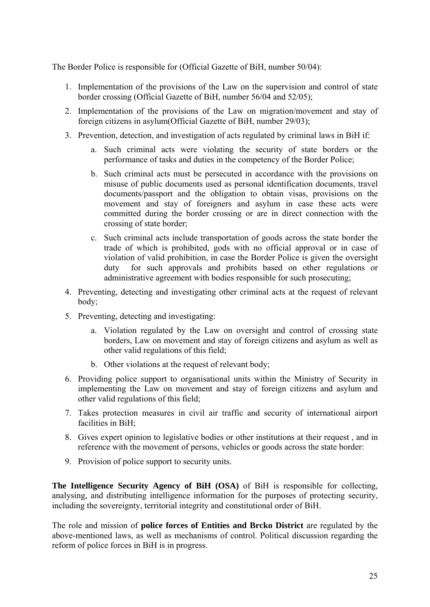The Border Police is responsible for (Official Gazette of BiH, number 50/04):

- 1. Implementation of the provisions of the Law on the supervision and control of state border crossing (Official Gazette of BiH, number 56/04 and 52/05);
- 2. Implementation of the provisions of the Law on migration/movement and stay of foreign citizens in asylum(Official Gazette of BiH, number 29/03);
- 3. Prevention, detection, and investigation of acts regulated by criminal laws in BiH if:
	- a. Such criminal acts were violating the security of state borders or the performance of tasks and duties in the competency of the Border Police;
	- b. Such criminal acts must be persecuted in accordance with the provisions on misuse of public documents used as personal identification documents, travel documents/passport and the obligation to obtain visas, provisions on the movement and stay of foreigners and asylum in case these acts were committed during the border crossing or are in direct connection with the crossing of state border;
	- c. Such criminal acts include transportation of goods across the state border the trade of which is prohibited, gods with no official approval or in case of violation of valid prohibition, in case the Border Police is given the oversight duty for such approvals and prohibits based on other regulations or administrative agreement with bodies responsible for such prosecuting;
- 4. Preventing, detecting and investigating other criminal acts at the request of relevant body;
- 5. Preventing, detecting and investigating:
	- a. Violation regulated by the Law on oversight and control of crossing state borders, Law on movement and stay of foreign citizens and asylum as well as other valid regulations of this field;
	- b. Other violations at the request of relevant body;
- 6. Providing police support to organisational units within the Ministry of Security in implementing the Law on movement and stay of foreign citizens and asylum and other valid regulations of this field;
- 7. Takes protection measures in civil air traffic and security of international airport facilities in BiH;
- 8. Gives expert opinion to legislative bodies or other institutions at their request , and in reference with the movement of persons, vehicles or goods across the state border:
- 9. Provision of police support to security units.

**The Intelligence Security Agency of BiH (OSA)** of BiH is responsible for collecting, analysing, and distributing intelligence information for the purposes of protecting security, including the sovereignty, territorial integrity and constitutional order of BiH.

The role and mission of **police forces of Entities and Brcko District** are regulated by the above-mentioned laws, as well as mechanisms of control. Political discussion regarding the reform of police forces in BiH is in progress.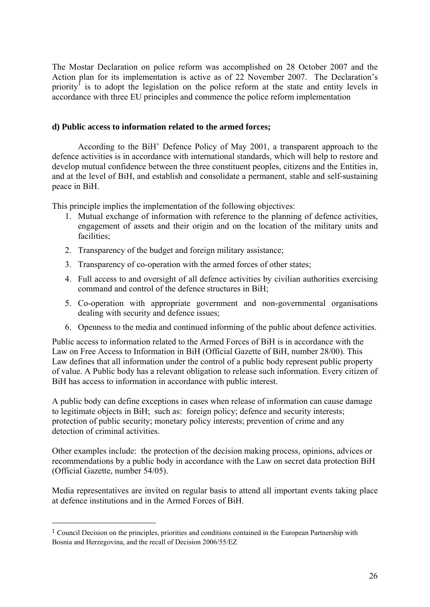The Mostar Declaration on police reform was accomplished on 28 October 2007 and the Action plan for its implementation is active as of 22 November 2007. The Declaration's priority<sup>1</sup> is to adopt the legislation on the police reform at the state and entity levels in accordance with three EU principles and commence the police reform implementation

### **d) Public access to information related to the armed forces;**

According to the BiH' Defence Policy of May 2001, a transparent approach to the defence activities is in accordance with international standards, which will help to restore and develop mutual confidence between the three constituent peoples, citizens and the Entities in, and at the level of BiH, and establish and consolidate a permanent, stable and self-sustaining peace in BiH.

This principle implies the implementation of the following objectives:

- 1. Mutual exchange of information with reference to the planning of defence activities, engagement of assets and their origin and on the location of the military units and facilities;
- 2. Transparency of the budget and foreign military assistance;
- 3. Transparency of co-operation with the armed forces of other states;
- 4. Full access to and oversight of all defence activities by civilian authorities exercising command and control of the defence structures in BiH;
- 5. Co-operation with appropriate government and non-governmental organisations dealing with security and defence issues;
- 6. Openness to the media and continued informing of the public about defence activities.

Public access to information related to the Armed Forces of BiH is in accordance with the Law on Free Access to Information in BiH (Official Gazette of BiH, number 28/00). This Law defines that all information under the control of a public body represent public property of value. A Public body has a relevant obligation to release such information. Every citizen of BiH has access to information in accordance with public interest.

A public body can define exceptions in cases when release of information can cause damage to legitimate objects in BiH; such as: foreign policy; defence and security interests; protection of public security; monetary policy interests; prevention of crime and any detection of criminal activities.

Other examples include: the protection of the decision making process, opinions, advices or recommendations by a public body in accordance with the Law on secret data protection BiH (Official Gazette, number 54/05).

Media representatives are invited on regular basis to attend all important events taking place at defence institutions and in the Armed Forces of BiH.

1

<sup>1</sup> Council Decision on the principles, priorities and conditions contained in the European Partnership with Bosnia and Herzegovina, and the recall of Decision 2006/55/EZ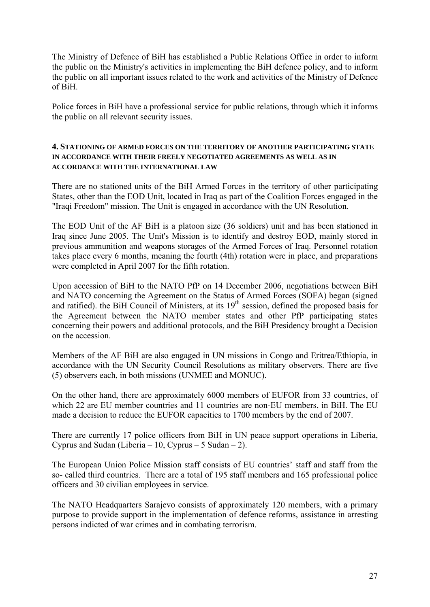The Ministry of Defence of BiH has established a Public Relations Office in order to inform the public on the Ministry's activities in implementing the BiH defence policy, and to inform the public on all important issues related to the work and activities of the Ministry of Defence of BiH.

Police forces in BiH have a professional service for public relations, through which it informs the public on all relevant security issues.

#### **4. STATIONING OF ARMED FORCES ON THE TERRITORY OF ANOTHER PARTICIPATING STATE IN ACCORDANCE WITH THEIR FREELY NEGOTIATED AGREEMENTS AS WELL AS IN ACCORDANCE WITH THE INTERNATIONAL LAW**

There are no stationed units of the BiH Armed Forces in the territory of other participating States, other than the EOD Unit, located in Iraq as part of the Coalition Forces engaged in the "Iraqi Freedom" mission. The Unit is engaged in accordance with the UN Resolution.

The EOD Unit of the AF BiH is a platoon size (36 soldiers) unit and has been stationed in Iraq since June 2005. The Unit's Mission is to identify and destroy EOD, mainly stored in previous ammunition and weapons storages of the Armed Forces of Iraq. Personnel rotation takes place every 6 months, meaning the fourth (4th) rotation were in place, and preparations were completed in April 2007 for the fifth rotation.

Upon accession of BiH to the NATO PfP on 14 December 2006, negotiations between BiH and NATO concerning the Agreement on the Status of Armed Forces (SOFA) began (signed and ratified). the BiH Council of Ministers, at its  $19<sup>th</sup>$  session, defined the proposed basis for the Agreement between the NATO member states and other PfP participating states concerning their powers and additional protocols, and the BiH Presidency brought a Decision on the accession.

Members of the AF BiH are also engaged in UN missions in Congo and Eritrea/Ethiopia, in accordance with the UN Security Council Resolutions as military observers. There are five (5) observers each, in both missions (UNMEE and MONUC).

On the other hand, there are approximately 6000 members of EUFOR from 33 countries, of which 22 are EU member countries and 11 countries are non-EU members, in BiH. The EU made a decision to reduce the EUFOR capacities to 1700 members by the end of 2007.

There are currently 17 police officers from BiH in UN peace support operations in Liberia, Cyprus and Sudan (Liberia – 10, Cyprus – 5 Sudan – 2).

The European Union Police Mission staff consists of EU countries' staff and staff from the so- called third countries. There are a total of 195 staff members and 165 professional police officers and 30 civilian employees in service.

The NATO Headquarters Sarajevo consists of approximately 120 members, with a primary purpose to provide support in the implementation of defence reforms, assistance in arresting persons indicted of war crimes and in combating terrorism.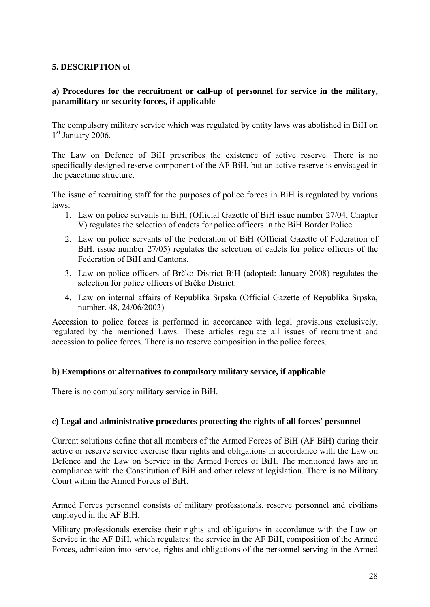### **5. DESCRIPTION of**

## **a) Procedures for the recruitment or call-up of personnel for service in the military, paramilitary or security forces, if applicable**

The compulsory military service which was regulated by entity laws was abolished in BiH on  $1<sup>st</sup>$  January 2006.

The Law on Defence of BiH prescribes the existence of active reserve. There is no specifically designed reserve component of the AF BiH, but an active reserve is envisaged in the peacetime structure.

The issue of recruiting staff for the purposes of police forces in BiH is regulated by various laws:

- 1. Law on police servants in BiH, (Official Gazette of BiH issue number 27/04, Chapter V) regulates the selection of cadets for police officers in the BiH Border Police.
- 2. Law on police servants of the Federation of BiH (Official Gazette of Federation of BiH, issue number 27/05) regulates the selection of cadets for police officers of the Federation of BiH and Cantons.
- 3. Law on police officers of Brčko District BiH (adopted: January 2008) regulates the selection for police officers of Brčko District.
- 4. Law on internal affairs of Republika Srpska (Official Gazette of Republika Srpska, number. 48, 24/06/2003)

Accession to police forces is performed in accordance with legal provisions exclusively, regulated by the mentioned Laws. These articles regulate all issues of recruitment and accession to police forces. There is no reserve composition in the police forces.

## **b) Exemptions or alternatives to compulsory military service, if applicable**

There is no compulsory military service in BiH.

#### **c) Legal and administrative procedures protecting the rights of all forces' personnel**

Current solutions define that all members of the Armed Forces of BiH (AF BiH) during their active or reserve service exercise their rights and obligations in accordance with the Law on Defence and the Law on Service in the Armed Forces of BiH. The mentioned laws are in compliance with the Constitution of BiH and other relevant legislation. There is no Military Court within the Armed Forces of BiH.

Armed Forces personnel consists of military professionals, reserve personnel and civilians employed in the AF BiH.

Military professionals exercise their rights and obligations in accordance with the Law on Service in the AF BiH, which regulates: the service in the AF BiH, composition of the Armed Forces, admission into service, rights and obligations of the personnel serving in the Armed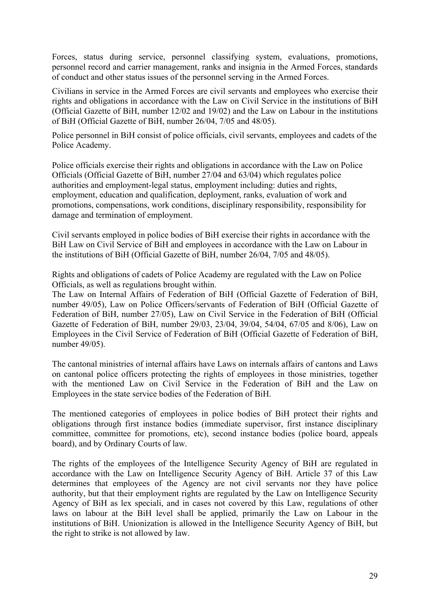Forces, status during service, personnel classifying system, evaluations, promotions, personnel record and carrier management, ranks and insignia in the Armed Forces, standards of conduct and other status issues of the personnel serving in the Armed Forces.

Civilians in service in the Armed Forces are civil servants and employees who exercise their rights and obligations in accordance with the Law on Civil Service in the institutions of BiH (Official Gazette of BiH, number 12/02 and 19/02) and the Law on Labour in the institutions of BiH (Official Gazette of BiH, number 26/04, 7/05 and 48/05).

Police personnel in BiH consist of police officials, civil servants, employees and cadets of the Police Academy.

Police officials exercise their rights and obligations in accordance with the Law on Police Officials (Official Gazette of BiH, number 27/04 and 63/04) which regulates police authorities and employment-legal status, employment including: duties and rights, employment, education and qualification, deployment, ranks, evaluation of work and promotions, compensations, work conditions, disciplinary responsibility, responsibility for damage and termination of employment.

Civil servants employed in police bodies of BiH exercise their rights in accordance with the BiH Law on Civil Service of BiH and employees in accordance with the Law on Labour in the institutions of BiH (Official Gazette of BiH, number 26/04, 7/05 and 48/05).

Rights and obligations of cadets of Police Academy are regulated with the Law on Police Officials, as well as regulations brought within.

The Law on Internal Affairs of Federation of BiH (Official Gazette of Federation of BiH, number 49/05), Law on Police Officers/servants of Federation of BiH (Official Gazette of Federation of BiH, number 27/05), Law on Civil Service in the Federation of BiH (Official Gazette of Federation of BiH, number 29/03, 23/04, 39/04, 54/04, 67/05 and 8/06), Law on Employees in the Civil Service of Federation of BiH (Official Gazette of Federation of BiH, number 49/05).

The cantonal ministries of internal affairs have Laws on internals affairs of cantons and Laws on cantonal police officers protecting the rights of employees in those ministries, together with the mentioned Law on Civil Service in the Federation of BiH and the Law on Employees in the state service bodies of the Federation of BiH.

The mentioned categories of employees in police bodies of BiH protect their rights and obligations through first instance bodies (immediate supervisor, first instance disciplinary committee, committee for promotions, etc), second instance bodies (police board, appeals board), and by Ordinary Courts of law.

The rights of the employees of the Intelligence Security Agency of BiH are regulated in accordance with the Law on Intelligence Security Agency of BiH. Article 37 of this Law determines that employees of the Agency are not civil servants nor they have police authority, but that their employment rights are regulated by the Law on Intelligence Security Agency of BiH as lex speciali, and in cases not covered by this Law, regulations of other laws on labour at the BiH level shall be applied, primarily the Law on Labour in the institutions of BiH. Unionization is allowed in the Intelligence Security Agency of BiH, but the right to strike is not allowed by law.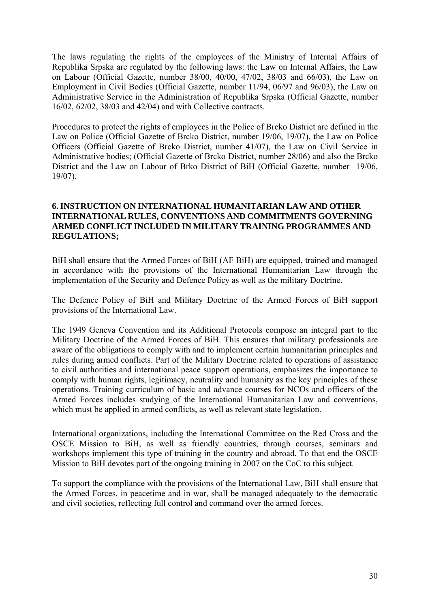The laws regulating the rights of the employees of the Ministry of Internal Affairs of Republika Srpska are regulated by the following laws: the Law on Internal Affairs, the Law on Labour (Official Gazette, number 38/00, 40/00, 47/02, 38/03 and 66/03), the Law on Employment in Civil Bodies (Official Gazette, number 11/94, 06/97 and 96/03), the Law on Administrative Service in the Administration of Republika Srpska (Official Gazette, number 16/02, 62/02, 38/03 and 42/04) and with Collective contracts.

Procedures to protect the rights of employees in the Police of Brcko District are defined in the Law on Police (Official Gazette of Brcko District, number 19/06, 19/07), the Law on Police Officers (Official Gazette of Brcko District, number 41/07), the Law on Civil Service in Administrative bodies; (Official Gazette of Brcko District, number 28/06) and also the Brcko District and the Law on Labour of Brko District of BiH (Official Gazette, number 19/06, 19/07).

### **6. INSTRUCTION ON INTERNATIONAL HUMANITARIAN LAW AND OTHER INTERNATIONAL RULES, CONVENTIONS AND COMMITMENTS GOVERNING ARMED CONFLICT INCLUDED IN MILITARY TRAINING PROGRAMMES AND REGULATIONS;**

BiH shall ensure that the Armed Forces of BiH (AF BiH) are equipped, trained and managed in accordance with the provisions of the International Humanitarian Law through the implementation of the Security and Defence Policy as well as the military Doctrine.

The Defence Policy of BiH and Military Doctrine of the Armed Forces of BiH support provisions of the International Law.

The 1949 Geneva Convention and its Additional Protocols compose an integral part to the Military Doctrine of the Armed Forces of BiH. This ensures that military professionals are aware of the obligations to comply with and to implement certain humanitarian principles and rules during armed conflicts. Part of the Military Doctrine related to operations of assistance to civil authorities and international peace support operations, emphasizes the importance to comply with human rights, legitimacy, neutrality and humanity as the key principles of these operations. Training curriculum of basic and advance courses for NCOs and officers of the Armed Forces includes studying of the International Humanitarian Law and conventions, which must be applied in armed conflicts, as well as relevant state legislation.

International organizations, including the International Committee on the Red Cross and the OSCE Mission to BiH, as well as friendly countries, through courses, seminars and workshops implement this type of training in the country and abroad. To that end the OSCE Mission to BiH devotes part of the ongoing training in 2007 on the CoC to this subject.

To support the compliance with the provisions of the International Law, BiH shall ensure that the Armed Forces, in peacetime and in war, shall be managed adequately to the democratic and civil societies, reflecting full control and command over the armed forces.